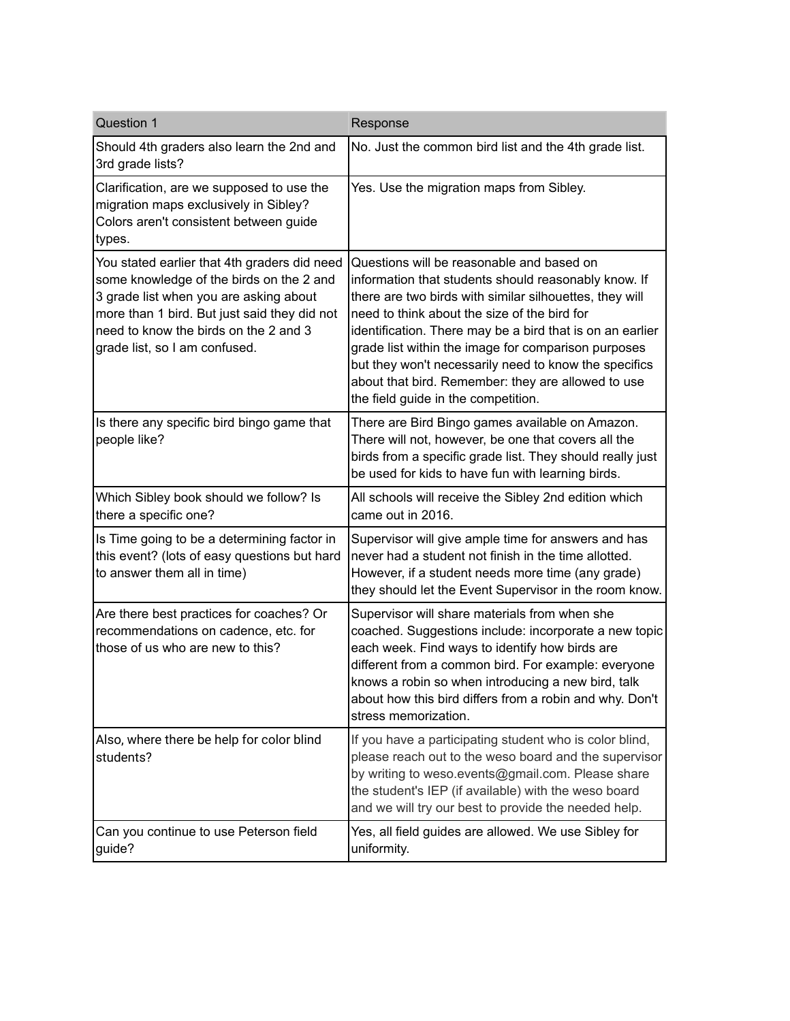| Question 1                                                                                                                                                                                                                                                   | Response                                                                                                                                                                                                                                                                                                                                                                                                                                                                               |
|--------------------------------------------------------------------------------------------------------------------------------------------------------------------------------------------------------------------------------------------------------------|----------------------------------------------------------------------------------------------------------------------------------------------------------------------------------------------------------------------------------------------------------------------------------------------------------------------------------------------------------------------------------------------------------------------------------------------------------------------------------------|
| Should 4th graders also learn the 2nd and<br>3rd grade lists?                                                                                                                                                                                                | No. Just the common bird list and the 4th grade list.                                                                                                                                                                                                                                                                                                                                                                                                                                  |
| Clarification, are we supposed to use the<br>migration maps exclusively in Sibley?<br>Colors aren't consistent between guide<br>types.                                                                                                                       | Yes. Use the migration maps from Sibley.                                                                                                                                                                                                                                                                                                                                                                                                                                               |
| You stated earlier that 4th graders did need<br>some knowledge of the birds on the 2 and<br>3 grade list when you are asking about<br>more than 1 bird. But just said they did not<br>need to know the birds on the 2 and 3<br>grade list, so I am confused. | Questions will be reasonable and based on<br>information that students should reasonably know. If<br>there are two birds with similar silhouettes, they will<br>need to think about the size of the bird for<br>identification. There may be a bird that is on an earlier<br>grade list within the image for comparison purposes<br>but they won't necessarily need to know the specifics<br>about that bird. Remember: they are allowed to use<br>the field guide in the competition. |
| Is there any specific bird bingo game that<br>people like?                                                                                                                                                                                                   | There are Bird Bingo games available on Amazon.<br>There will not, however, be one that covers all the<br>birds from a specific grade list. They should really just<br>be used for kids to have fun with learning birds.                                                                                                                                                                                                                                                               |
| Which Sibley book should we follow? Is<br>there a specific one?                                                                                                                                                                                              | All schools will receive the Sibley 2nd edition which<br>came out in 2016.                                                                                                                                                                                                                                                                                                                                                                                                             |
| Is Time going to be a determining factor in<br>this event? (lots of easy questions but hard<br>to answer them all in time)                                                                                                                                   | Supervisor will give ample time for answers and has<br>never had a student not finish in the time allotted.<br>However, if a student needs more time (any grade)<br>they should let the Event Supervisor in the room know.                                                                                                                                                                                                                                                             |
| Are there best practices for coaches? Or<br>recommendations on cadence, etc. for<br>those of us who are new to this?                                                                                                                                         | Supervisor will share materials from when she<br>coached. Suggestions include: incorporate a new topic<br>each week. Find ways to identify how birds are<br>different from a common bird. For example: everyone<br>knows a robin so when introducing a new bird, talk<br>about how this bird differs from a robin and why. Don't<br>stress memorization.                                                                                                                               |
| Also, where there be help for color blind<br>students?                                                                                                                                                                                                       | If you have a participating student who is color blind,<br>please reach out to the weso board and the supervisor<br>by writing to weso.events@gmail.com. Please share<br>the student's IEP (if available) with the weso board<br>and we will try our best to provide the needed help.                                                                                                                                                                                                  |
| Can you continue to use Peterson field<br>guide?                                                                                                                                                                                                             | Yes, all field guides are allowed. We use Sibley for<br>uniformity.                                                                                                                                                                                                                                                                                                                                                                                                                    |